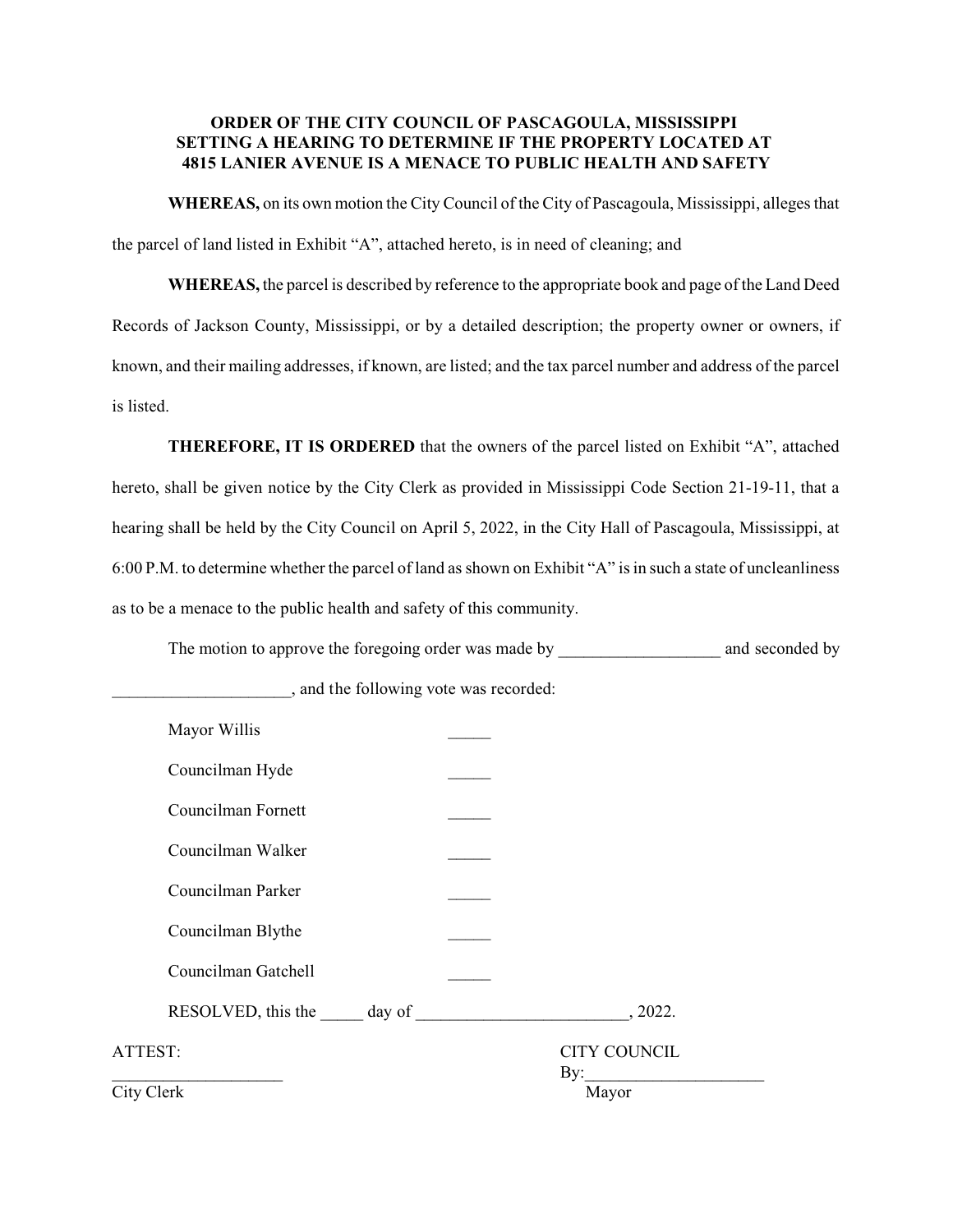## **ORDER OF THE CITY COUNCIL OF PASCAGOULA, MISSISSIPPI SETTING A HEARING TO DETERMINE IF THE PROPERTY LOCATED AT 4815 LANIER AVENUE IS A MENACE TO PUBLIC HEALTH AND SAFETY**

**WHEREAS,** on its own motion the City Council of the City of Pascagoula, Mississippi, alleges that the parcel of land listed in Exhibit "A", attached hereto, is in need of cleaning; and

**WHEREAS,** the parcel is described by reference to the appropriate book and page of the Land Deed Records of Jackson County, Mississippi, or by a detailed description; the property owner or owners, if known, and their mailing addresses, if known, are listed; and the tax parcel number and address of the parcel is listed.

**THEREFORE, IT IS ORDERED** that the owners of the parcel listed on Exhibit "A", attached hereto, shall be given notice by the City Clerk as provided in Mississippi Code Section 21-19-11, that a hearing shall be held by the City Council on April 5, 2022, in the City Hall of Pascagoula, Mississippi, at 6:00 P.M. to determine whether the parcel of land as shown on Exhibit "A" is in such a state of uncleanliness as to be a menace to the public health and safety of this community.

The motion to approve the foregoing order was made by \_\_\_\_\_\_\_\_\_\_\_\_\_\_\_\_\_\_\_\_\_\_\_\_\_\_ and seconded by

| Mayor Willis        |                            |
|---------------------|----------------------------|
| Councilman Hyde     |                            |
| Councilman Fornett  |                            |
| Councilman Walker   |                            |
| Councilman Parker   |                            |
| Councilman Blythe   |                            |
| Councilman Gatchell |                            |
|                     | , 2022.                    |
| ATTEST:             | <b>CITY COUNCIL</b><br>By: |
| City Clerk          | Mayor                      |

\_\_\_\_\_\_\_\_\_\_\_\_\_\_\_\_\_\_\_\_\_, and the following vote was recorded: